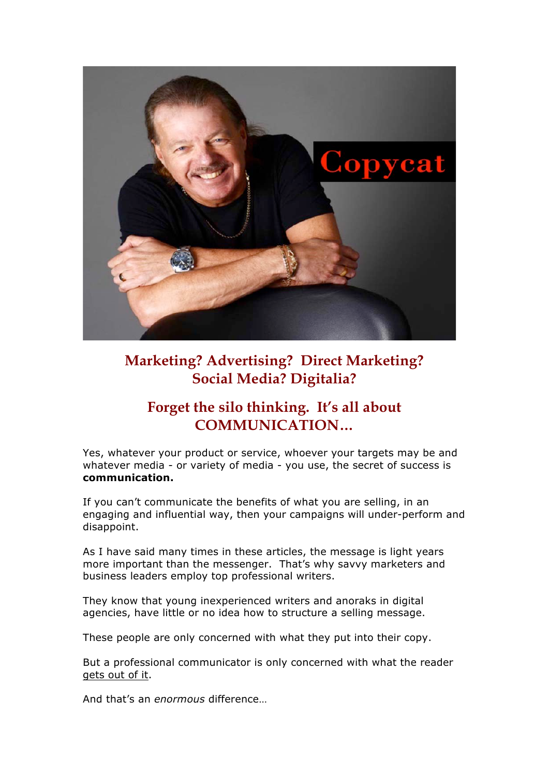

## **Marketing? Advertising? Direct Marketing? Social Media? Digitalia?**

## **Forget the silo thinking. It's all about COMMUNICATION…**

Yes, whatever your product or service, whoever your targets may be and whatever media - or variety of media - you use, the secret of success is **communication.**

If you can't communicate the benefits of what you are selling, in an engaging and influential way, then your campaigns will under-perform and disappoint.

As I have said many times in these articles, the message is light years more important than the messenger. That's why savvy marketers and business leaders employ top professional writers.

They know that young inexperienced writers and anoraks in digital agencies, have little or no idea how to structure a selling message.

These people are only concerned with what they put into their copy.

But a professional communicator is only concerned with what the reader gets out of it.

And that's an *enormous* difference…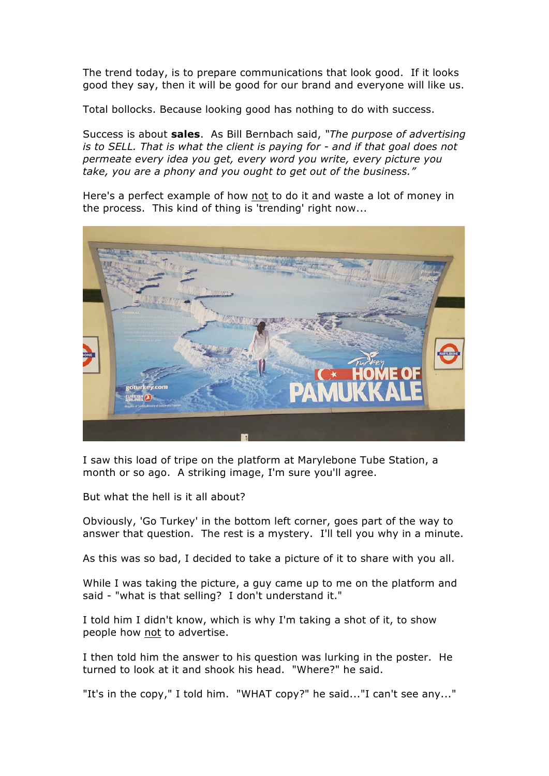The trend today, is to prepare communications that look good. If it looks good they say, then it will be good for our brand and everyone will like us.

Total bollocks. Because looking good has nothing to do with success.

Success is about **sales**. As Bill Bernbach said, *"The purpose of advertising is to SELL. That is what the client is paying for - and if that goal does not permeate every idea you get, every word you write, every picture you take, you are a phony and you ought to get out of the business."*

Here's a perfect example of how not to do it and waste a lot of money in the process. This kind of thing is 'trending' right now...



I saw this load of tripe on the platform at Marylebone Tube Station, a month or so ago. A striking image, I'm sure you'll agree.

But what the hell is it all about?

Obviously, 'Go Turkey' in the bottom left corner, goes part of the way to answer that question. The rest is a mystery. I'll tell you why in a minute.

As this was so bad, I decided to take a picture of it to share with you all.

While I was taking the picture, a guy came up to me on the platform and said - "what is that selling? I don't understand it."

I told him I didn't know, which is why I'm taking a shot of it, to show people how not to advertise.

I then told him the answer to his question was lurking in the poster. He turned to look at it and shook his head. "Where?" he said.

"It's in the copy," I told him. "WHAT copy?" he said..."I can't see any..."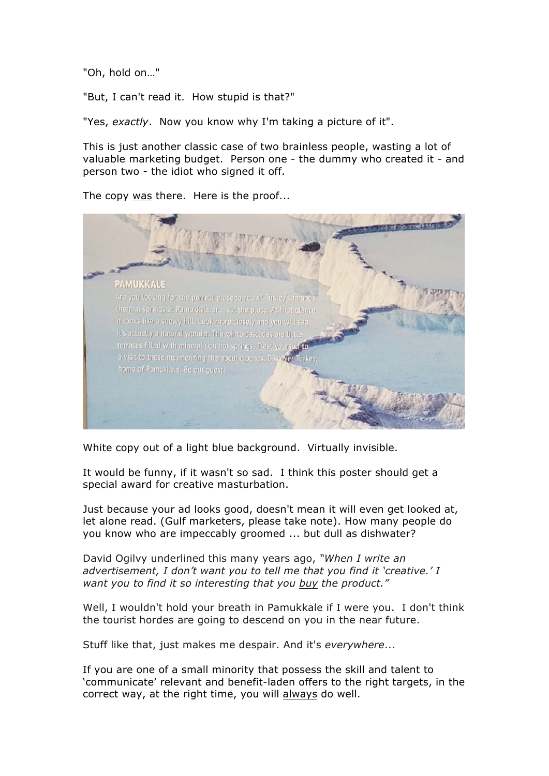"Oh, hold on…"

"But, I can't read it. How stupid is that?"

"Yes, *exactly*. Now you know why I'm taking a picture of it".

This is just another classic case of two brainless people, wasting a lot of valuable marketing budget. Person one - the dummy who created it - and person two - the idiot who signed it off.

The copy was there. Here is the proof...



White copy out of a light blue background. Virtually invisible.

It would be funny, if it wasn't so sad. I think this poster should get a special award for creative masturbation.

Just because your ad looks good, doesn't mean it will even get looked at, let alone read. (Gulf marketers, please take note). How many people do you know who are impeccably groomed ... but dull as dishwater?

David Ogilvy underlined this many years ago, *"When I write an advertisement, I don't want you to tell me that you find it 'creative.' I want you to find it so interesting that you buy the product."*

Well, I wouldn't hold your breath in Pamukkale if I were you. I don't think the tourist hordes are going to descend on you in the near future.

Stuff like that, just makes me despair. And it's *everywhere*...

If you are one of a small minority that possess the skill and talent to 'communicate' relevant and benefit-laden offers to the right targets, in the correct way, at the right time, you will always do well.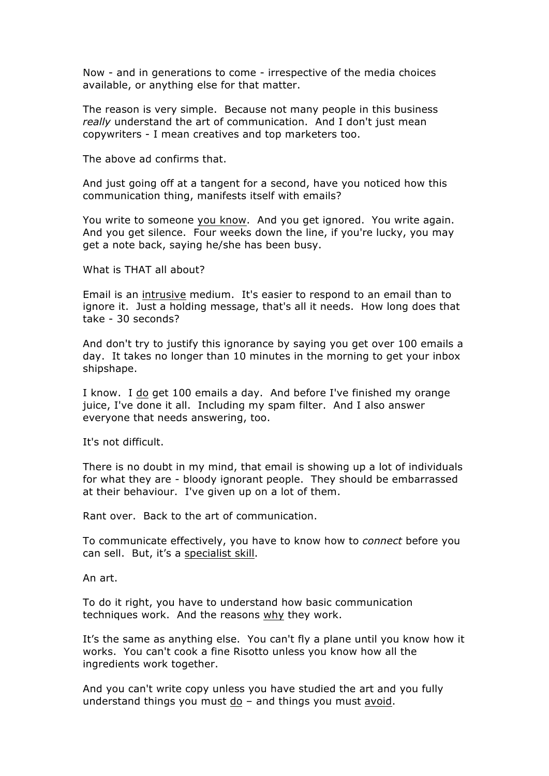Now - and in generations to come - irrespective of the media choices available, or anything else for that matter.

The reason is very simple. Because not many people in this business *really* understand the art of communication. And I don't just mean copywriters - I mean creatives and top marketers too.

The above ad confirms that.

And just going off at a tangent for a second, have you noticed how this communication thing, manifests itself with emails?

You write to someone you know. And you get ignored. You write again. And you get silence. Four weeks down the line, if you're lucky, you may get a note back, saying he/she has been busy.

What is THAT all about?

Email is an intrusive medium. It's easier to respond to an email than to ignore it. Just a holding message, that's all it needs. How long does that take - 30 seconds?

And don't try to justify this ignorance by saying you get over 100 emails a day. It takes no longer than 10 minutes in the morning to get your inbox shipshape.

I know. I do get 100 emails a day. And before I've finished my orange juice, I've done it all. Including my spam filter. And I also answer everyone that needs answering, too.

It's not difficult.

There is no doubt in my mind, that email is showing up a lot of individuals for what they are - bloody ignorant people. They should be embarrassed at their behaviour. I've given up on a lot of them.

Rant over. Back to the art of communication.

To communicate effectively, you have to know how to *connect* before you can sell. But, it's a specialist skill.

An art.

To do it right, you have to understand how basic communication techniques work. And the reasons why they work.

It's the same as anything else. You can't fly a plane until you know how it works. You can't cook a fine Risotto unless you know how all the ingredients work together.

And you can't write copy unless you have studied the art and you fully understand things you must do – and things you must avoid.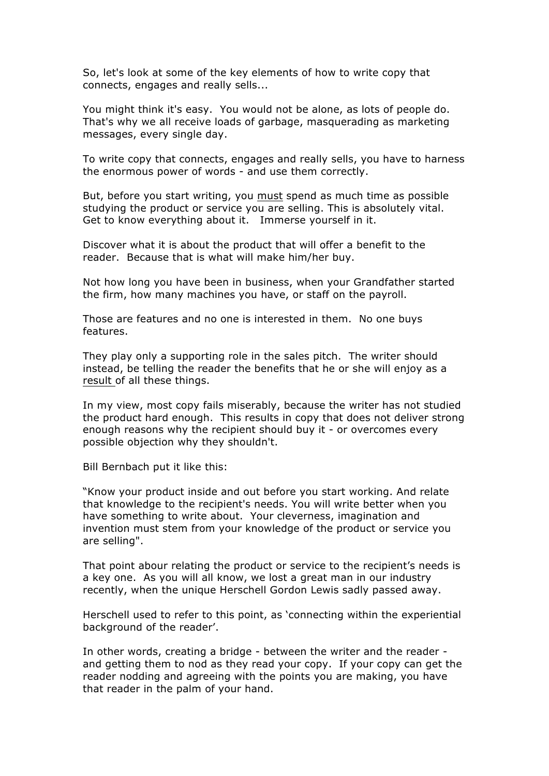So, let's look at some of the key elements of how to write copy that connects, engages and really sells...

You might think it's easy. You would not be alone, as lots of people do. That's why we all receive loads of garbage, masquerading as marketing messages, every single day.

To write copy that connects, engages and really sells, you have to harness the enormous power of words - and use them correctly.

But, before you start writing, you must spend as much time as possible studying the product or service you are selling. This is absolutely vital. Get to know everything about it. Immerse yourself in it.

Discover what it is about the product that will offer a benefit to the reader. Because that is what will make him/her buy.

Not how long you have been in business, when your Grandfather started the firm, how many machines you have, or staff on the payroll.

Those are features and no one is interested in them. No one buys features.

They play only a supporting role in the sales pitch. The writer should instead, be telling the reader the benefits that he or she will enjoy as a result of all these things.

In my view, most copy fails miserably, because the writer has not studied the product hard enough. This results in copy that does not deliver strong enough reasons why the recipient should buy it - or overcomes every possible objection why they shouldn't.

Bill Bernbach put it like this:

"Know your product inside and out before you start working. And relate that knowledge to the recipient's needs. You will write better when you have something to write about. Your cleverness, imagination and invention must stem from your knowledge of the product or service you are selling".

That point abour relating the product or service to the recipient's needs is a key one. As you will all know, we lost a great man in our industry recently, when the unique Herschell Gordon Lewis sadly passed away.

Herschell used to refer to this point, as 'connecting within the experiential background of the reader'.

In other words, creating a bridge - between the writer and the reader and getting them to nod as they read your copy. If your copy can get the reader nodding and agreeing with the points you are making, you have that reader in the palm of your hand.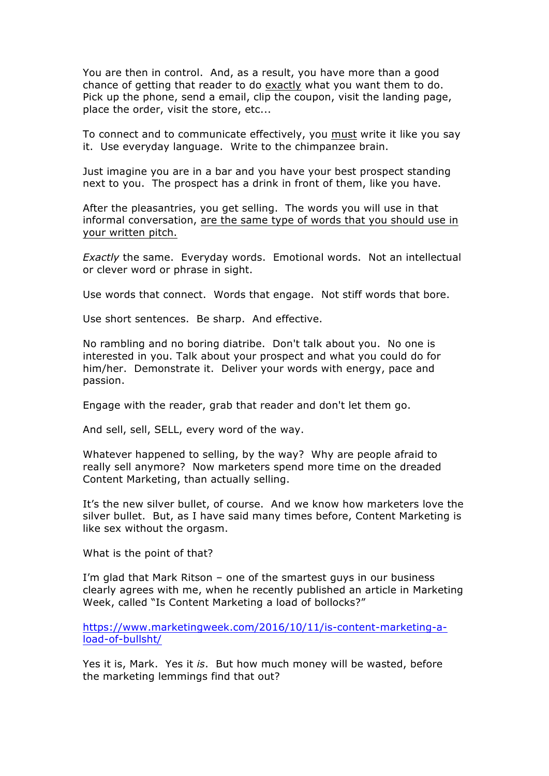You are then in control. And, as a result, you have more than a good chance of getting that reader to do exactly what you want them to do. Pick up the phone, send a email, clip the coupon, visit the landing page, place the order, visit the store, etc...

To connect and to communicate effectively, you must write it like you say it. Use everyday language. Write to the chimpanzee brain.

Just imagine you are in a bar and you have your best prospect standing next to you. The prospect has a drink in front of them, like you have.

After the pleasantries, you get selling. The words you will use in that informal conversation, are the same type of words that you should use in your written pitch.

*Exactly* the same. Everyday words. Emotional words. Not an intellectual or clever word or phrase in sight.

Use words that connect. Words that engage. Not stiff words that bore.

Use short sentences. Be sharp. And effective.

No rambling and no boring diatribe. Don't talk about you. No one is interested in you. Talk about your prospect and what you could do for him/her. Demonstrate it. Deliver your words with energy, pace and passion.

Engage with the reader, grab that reader and don't let them go.

And sell, sell, SELL, every word of the way.

Whatever happened to selling, by the way? Why are people afraid to really sell anymore? Now marketers spend more time on the dreaded Content Marketing, than actually selling.

It's the new silver bullet, of course. And we know how marketers love the silver bullet. But, as I have said many times before, Content Marketing is like sex without the orgasm.

What is the point of that?

I'm glad that Mark Ritson – one of the smartest guys in our business clearly agrees with me, when he recently published an article in Marketing Week, called "Is Content Marketing a load of bollocks?"

https://www.marketingweek.com/2016/10/11/is-content-marketing-aload-of-bullsht/

Yes it is, Mark. Yes it *is*. But how much money will be wasted, before the marketing lemmings find that out?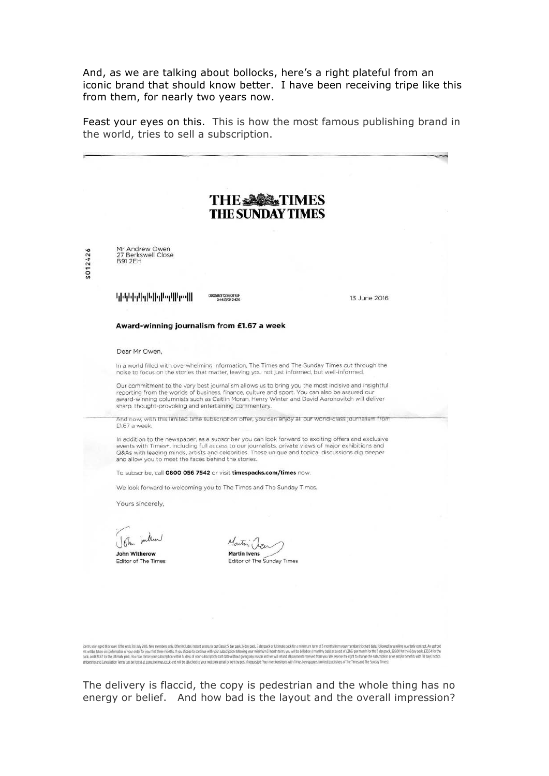And, as we are talking about bollocks, here's a right plateful from an iconic brand that should know better. I have been receiving tripe like this from them, for nearly two years now.

Feast your eyes on this. This is how the most famous publishing brand in the world, tries to sell a subscription.



The delivery is flaccid, the copy is pedestrian and the whole thing has no energy or belief. And how bad is the layout and the overall impression?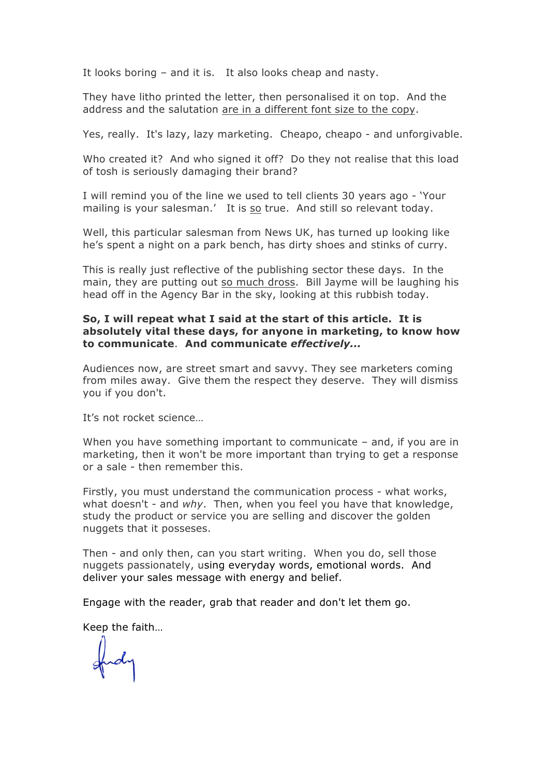It looks boring – and it is. It also looks cheap and nasty.

They have litho printed the letter, then personalised it on top. And the address and the salutation are in a different font size to the copy.

Yes, really. It's lazy, lazy marketing. Cheapo, cheapo - and unforgivable.

Who created it? And who signed it off? Do they not realise that this load of tosh is seriously damaging their brand?

I will remind you of the line we used to tell clients 30 years ago - 'Your mailing is your salesman.' It is so true. And still so relevant today.

Well, this particular salesman from News UK, has turned up looking like he's spent a night on a park bench, has dirty shoes and stinks of curry.

This is really just reflective of the publishing sector these days. In the main, they are putting out so much dross. Bill Jayme will be laughing his head off in the Agency Bar in the sky, looking at this rubbish today.

## **So, I will repeat what I said at the start of this article. It is absolutely vital these days, for anyone in marketing, to know how to communicate**. **And communicate** *effectively...*

Audiences now, are street smart and savvy. They see marketers coming from miles away. Give them the respect they deserve. They will dismiss you if you don't.

It's not rocket science…

When you have something important to communicate – and, if you are in marketing, then it won't be more important than trying to get a response or a sale - then remember this.

Firstly, you must understand the communication process - what works, what doesn't - and *why*. Then, when you feel you have that knowledge, study the product or service you are selling and discover the golden nuggets that it posseses.

Then - and only then, can you start writing. When you do, sell those nuggets passionately, using everyday words, emotional words. And deliver your sales message with energy and belief.

Engage with the reader, grab that reader and don't let them go.

Keep the faith…